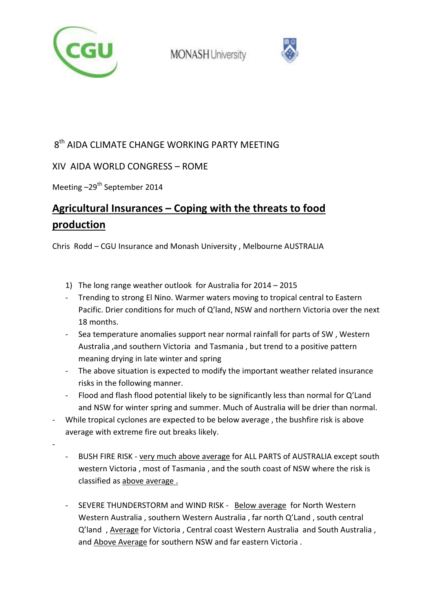



## $8<sup>th</sup>$  AIDA CLIMATE CHANGE WORKING PARTY MEETING

### XIV AIDA WORLD CONGRESS – ROME

Meeting  $-29^{th}$  September 2014

-

# **Agricultural Insurances – Coping with the threats to food production**

Chris Rodd – CGU Insurance and Monash University , Melbourne AUSTRALIA

- 1) The long range weather outlook for Australia for 2014 2015
- Trending to strong El Nino. Warmer waters moving to tropical central to Eastern Pacific. Drier conditions for much of Q'land, NSW and northern Victoria over the next 18 months.
- Sea temperature anomalies support near normal rainfall for parts of SW, Western Australia ,and southern Victoria and Tasmania , but trend to a positive pattern meaning drying in late winter and spring
- The above situation is expected to modify the important weather related insurance risks in the following manner.
- Flood and flash flood potential likely to be significantly less than normal for Q'Land and NSW for winter spring and summer. Much of Australia will be drier than normal.
- While tropical cyclones are expected to be below average, the bushfire risk is above average with extreme fire out breaks likely.
	- BUSH FIRE RISK very much above average for ALL PARTS of AUSTRALIA except south western Victoria , most of Tasmania , and the south coast of NSW where the risk is classified as above average .
	- SEVERE THUNDERSTORM and WIND RISK Below average for North Western Western Australia , southern Western Australia , far north Q'Land , south central Q'land , Average for Victoria , Central coast Western Australia and South Australia , and Above Average for southern NSW and far eastern Victoria .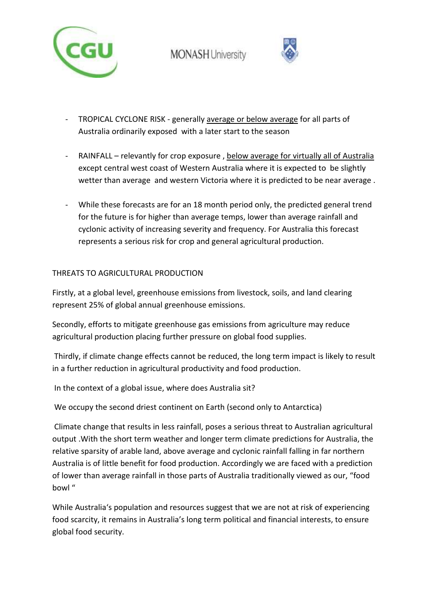



- TROPICAL CYCLONE RISK generally average or below average for all parts of Australia ordinarily exposed with a later start to the season
- RAINFALL relevantly for crop exposure , below average for virtually all of Australia except central west coast of Western Australia where it is expected to be slightly wetter than average and western Victoria where it is predicted to be near average .
- While these forecasts are for an 18 month period only, the predicted general trend for the future is for higher than average temps, lower than average rainfall and cyclonic activity of increasing severity and frequency. For Australia this forecast represents a serious risk for crop and general agricultural production.

#### THREATS TO AGRICULTURAL PRODUCTION

Firstly, at a global level, greenhouse emissions from livestock, soils, and land clearing represent 25% of global annual greenhouse emissions.

Secondly, efforts to mitigate greenhouse gas emissions from agriculture may reduce agricultural production placing further pressure on global food supplies.

 Thirdly, if climate change effects cannot be reduced, the long term impact is likely to result in a further reduction in agricultural productivity and food production.

In the context of a global issue, where does Australia sit?

We occupy the second driest continent on Earth (second only to Antarctica)

 Climate change that results in less rainfall, poses a serious threat to Australian agricultural output .With the short term weather and longer term climate predictions for Australia, the relative sparsity of arable land, above average and cyclonic rainfall falling in far northern Australia is of little benefit for food production. Accordingly we are faced with a prediction of lower than average rainfall in those parts of Australia traditionally viewed as our, "food bowl "

While Australia's population and resources suggest that we are not at risk of experiencing food scarcity, it remains in Australia's long term political and financial interests, to ensure global food security.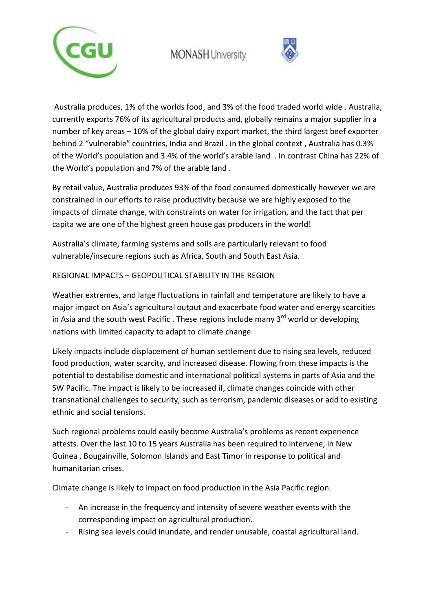



 Australia produces, 1% of the worlds food, and 3% of the food traded world wide . Australia, currently exports 76% of its agricultural products and, globally remains a major supplier in a number of key areas – 10% of the global dairy export market, the third largest beef exporter behind 2 "vulnerable" countries, India and Brazil . In the global context , Australia has 0.3% of the World's population and 3.4% of the world's arable land . In contrast China has 22% of the World's population and 7% of the arable land .

By retail value, Australia produces 93% of the food consumed domestically however we are constrained in our efforts to raise productivity because we are highly exposed to the impacts of climate change, with constraints on water for irrigation, and the fact that per capita we are one of the highest green house gas producers in the world!

Australia's climate, farming systems and soils are particularly relevant to food vulnerable/insecure regions such as Africa, South and South East Asia.

#### REGIONAL IMPACTS – GEOPOLITICAL STABILITY IN THE REGION

Weather extremes, and large fluctuations in rainfall and temperature are likely to have a major impact on Asia's agricultural output and exacerbate food water and energy scarcities in Asia and the south west Pacific . These regions include many  $3<sup>rd</sup>$  world or developing nations with limited capacity to adapt to climate change

Likely impacts include displacement of human settlement due to rising sea levels, reduced food production, water scarcity, and increased disease. Flowing from these impacts is the potential to destabilise domestic and international political systems in parts of Asia and the SW Pacific. The impact is likely to be increased if, climate changes coincide with other transnational challenges to security, such as terrorism, pandemic diseases or add to existing ethnic and social tensions.

Such regional problems could easily become Australia's problems as recent experience attests. Over the last 10 to 15 years Australia has been required to intervene, in New Guinea , Bougainville, Solomon Islands and East Timor in response to political and humanitarian crises.

Climate change is likely to impact on food production in the Asia Pacific region.

- An increase in the frequency and intensity of severe weather events with the corresponding impact on agricultural production.
- Rising sea levels could inundate, and render unusable, coastal agricultural land.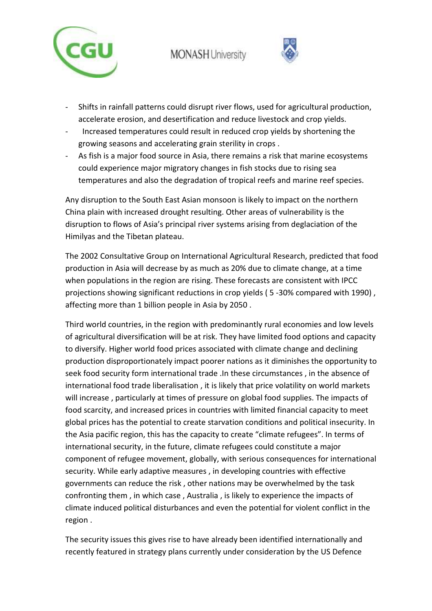



- Shifts in rainfall patterns could disrupt river flows, used for agricultural production, accelerate erosion, and desertification and reduce livestock and crop yields.
- Increased temperatures could result in reduced crop yields by shortening the growing seasons and accelerating grain sterility in crops .
- As fish is a major food source in Asia, there remains a risk that marine ecosystems could experience major migratory changes in fish stocks due to rising sea temperatures and also the degradation of tropical reefs and marine reef species.

Any disruption to the South East Asian monsoon is likely to impact on the northern China plain with increased drought resulting. Other areas of vulnerability is the disruption to flows of Asia's principal river systems arising from deglaciation of the Himilyas and the Tibetan plateau.

The 2002 Consultative Group on International Agricultural Research, predicted that food production in Asia will decrease by as much as 20% due to climate change, at a time when populations in the region are rising. These forecasts are consistent with IPCC projections showing significant reductions in crop yields (5-30% compared with 1990), affecting more than 1 billion people in Asia by 2050 .

Third world countries, in the region with predominantly rural economies and low levels of agricultural diversification will be at risk. They have limited food options and capacity to diversify. Higher world food prices associated with climate change and declining production disproportionately impact poorer nations as it diminishes the opportunity to seek food security form international trade .In these circumstances , in the absence of international food trade liberalisation , it is likely that price volatility on world markets will increase , particularly at times of pressure on global food supplies. The impacts of food scarcity, and increased prices in countries with limited financial capacity to meet global prices has the potential to create starvation conditions and political insecurity. In the Asia pacific region, this has the capacity to create "climate refugees". In terms of international security, in the future, climate refugees could constitute a major component of refugee movement, globally, with serious consequences for international security. While early adaptive measures , in developing countries with effective governments can reduce the risk , other nations may be overwhelmed by the task confronting them , in which case , Australia , is likely to experience the impacts of climate induced political disturbances and even the potential for violent conflict in the region .

The security issues this gives rise to have already been identified internationally and recently featured in strategy plans currently under consideration by the US Defence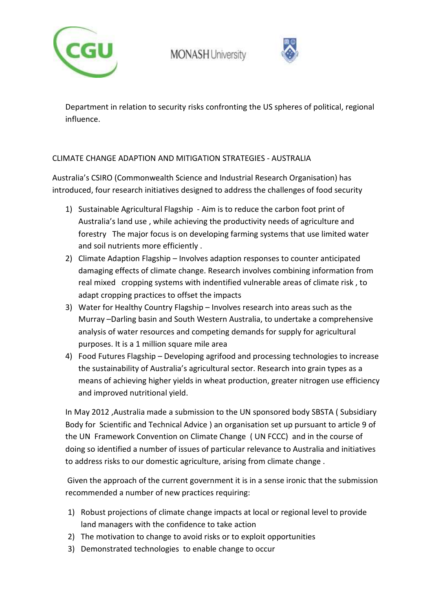



Department in relation to security risks confronting the US spheres of political, regional influence.

#### CLIMATE CHANGE ADAPTION AND MITIGATION STRATEGIES - AUSTRALIA

Australia's CSIRO (Commonwealth Science and Industrial Research Organisation) has introduced, four research initiatives designed to address the challenges of food security

- 1) Sustainable Agricultural Flagship Aim is to reduce the carbon foot print of Australia's land use , while achieving the productivity needs of agriculture and forestry The major focus is on developing farming systems that use limited water and soil nutrients more efficiently .
- 2) Climate Adaption Flagship Involves adaption responses to counter anticipated damaging effects of climate change. Research involves combining information from real mixed cropping systems with indentified vulnerable areas of climate risk , to adapt cropping practices to offset the impacts
- 3) Water for Healthy Country Flagship Involves research into areas such as the Murray –Darling basin and South Western Australia, to undertake a comprehensive analysis of water resources and competing demands for supply for agricultural purposes. It is a 1 million square mile area
- 4) Food Futures Flagship Developing agrifood and processing technologies to increase the sustainability of Australia's agricultural sector. Research into grain types as a means of achieving higher yields in wheat production, greater nitrogen use efficiency and improved nutritional yield.

In May 2012 ,Australia made a submission to the UN sponsored body SBSTA ( Subsidiary Body for Scientific and Technical Advice ) an organisation set up pursuant to article 9 of the UN Framework Convention on Climate Change ( UN FCCC) and in the course of doing so identified a number of issues of particular relevance to Australia and initiatives to address risks to our domestic agriculture, arising from climate change .

 Given the approach of the current government it is in a sense ironic that the submission recommended a number of new practices requiring:

- 1) Robust projections of climate change impacts at local or regional level to provide land managers with the confidence to take action
- 2) The motivation to change to avoid risks or to exploit opportunities
- 3) Demonstrated technologies to enable change to occur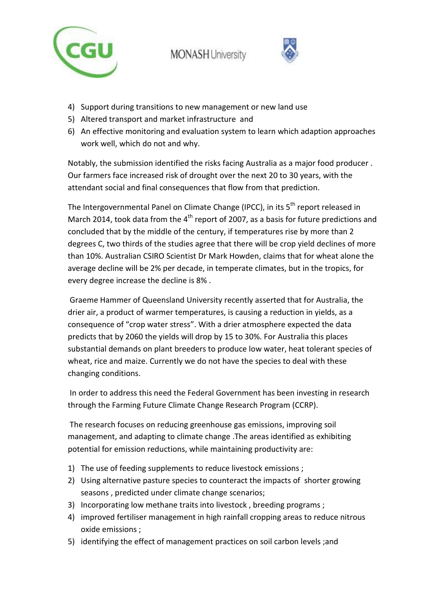



- 4) Support during transitions to new management or new land use
- 5) Altered transport and market infrastructure and
- 6) An effective monitoring and evaluation system to learn which adaption approaches work well, which do not and why.

Notably, the submission identified the risks facing Australia as a major food producer . Our farmers face increased risk of drought over the next 20 to 30 years, with the attendant social and final consequences that flow from that prediction.

The Intergovernmental Panel on Climate Change (IPCC), in its 5<sup>th</sup> report released in March 2014, took data from the  $4<sup>th</sup>$  report of 2007, as a basis for future predictions and concluded that by the middle of the century, if temperatures rise by more than 2 degrees C, two thirds of the studies agree that there will be crop yield declines of more than 10%. Australian CSIRO Scientist Dr Mark Howden, claims that for wheat alone the average decline will be 2% per decade, in temperate climates, but in the tropics, for every degree increase the decline is 8% .

 Graeme Hammer of Queensland University recently asserted that for Australia, the drier air, a product of warmer temperatures, is causing a reduction in yields, as a consequence of "crop water stress". With a drier atmosphere expected the data predicts that by 2060 the yields will drop by 15 to 30%. For Australia this places substantial demands on plant breeders to produce low water, heat tolerant species of wheat, rice and maize. Currently we do not have the species to deal with these changing conditions.

 In order to address this need the Federal Government has been investing in research through the Farming Future Climate Change Research Program (CCRP).

 The research focuses on reducing greenhouse gas emissions, improving soil management, and adapting to climate change .The areas identified as exhibiting potential for emission reductions, while maintaining productivity are:

- 1) The use of feeding supplements to reduce livestock emissions ;
- 2) Using alternative pasture species to counteract the impacts of shorter growing seasons , predicted under climate change scenarios;
- 3) Incorporating low methane traits into livestock , breeding programs ;
- 4) improved fertiliser management in high rainfall cropping areas to reduce nitrous oxide emissions ;
- 5) identifying the effect of management practices on soil carbon levels ;and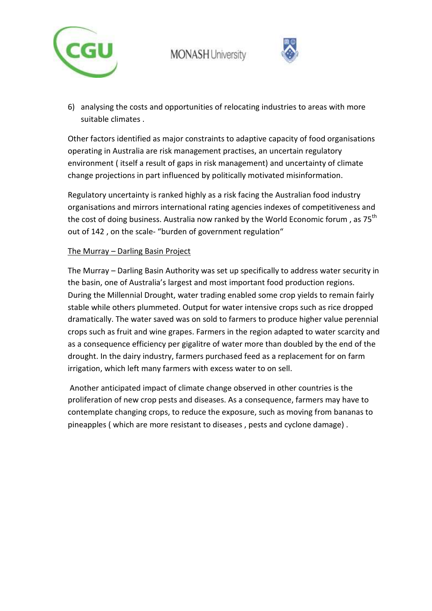



6) analysing the costs and opportunities of relocating industries to areas with more suitable climates .

Other factors identified as major constraints to adaptive capacity of food organisations operating in Australia are risk management practises, an uncertain regulatory environment ( itself a result of gaps in risk management) and uncertainty of climate change projections in part influenced by politically motivated misinformation.

Regulatory uncertainty is ranked highly as a risk facing the Australian food industry organisations and mirrors international rating agencies indexes of competitiveness and the cost of doing business. Australia now ranked by the World Economic forum, as 75<sup>th</sup> out of 142 , on the scale- "burden of government regulation"

#### The Murray – Darling Basin Project

The Murray – Darling Basin Authority was set up specifically to address water security in the basin, one of Australia's largest and most important food production regions. During the Millennial Drought, water trading enabled some crop yields to remain fairly stable while others plummeted. Output for water intensive crops such as rice dropped dramatically. The water saved was on sold to farmers to produce higher value perennial crops such as fruit and wine grapes. Farmers in the region adapted to water scarcity and as a consequence efficiency per gigalitre of water more than doubled by the end of the drought. In the dairy industry, farmers purchased feed as a replacement for on farm irrigation, which left many farmers with excess water to on sell.

 Another anticipated impact of climate change observed in other countries is the proliferation of new crop pests and diseases. As a consequence, farmers may have to contemplate changing crops, to reduce the exposure, such as moving from bananas to pineapples ( which are more resistant to diseases , pests and cyclone damage) .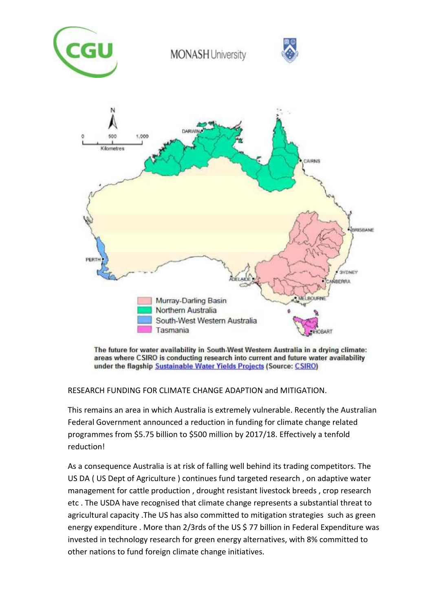





The future for water availability in South-West Western Australia in a drying climate: areas where CSIRO is conducting research into current and future water availability under the flagship Sustainable Water Yields Projects (Source: CSIRO)

RESEARCH FUNDING FOR CLIMATE CHANGE ADAPTION and MITIGATION.

This remains an area in which Australia is extremely vulnerable. Recently the Australian Federal Government announced a reduction in funding for climate change related programmes from \$5.75 billion to \$500 million by 2017/18. Effectively a tenfold reduction!

As a consequence Australia is at risk of falling well behind its trading competitors. The US DA ( US Dept of Agriculture ) continues fund targeted research , on adaptive water management for cattle production , drought resistant livestock breeds , crop research etc . The USDA have recognised that climate change represents a substantial threat to agricultural capacity .The US has also committed to mitigation strategies such as green energy expenditure . More than 2/3rds of the US \$77 billion in Federal Expenditure was invested in technology research for green energy alternatives, with 8% committed to other nations to fund foreign climate change initiatives.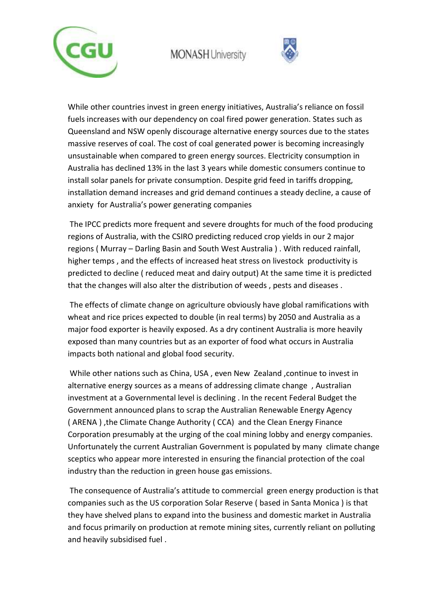



While other countries invest in green energy initiatives, Australia's reliance on fossil fuels increases with our dependency on coal fired power generation. States such as Queensland and NSW openly discourage alternative energy sources due to the states massive reserves of coal. The cost of coal generated power is becoming increasingly unsustainable when compared to green energy sources. Electricity consumption in Australia has declined 13% in the last 3 years while domestic consumers continue to install solar panels for private consumption. Despite grid feed in tariffs dropping, installation demand increases and grid demand continues a steady decline, a cause of anxiety for Australia's power generating companies

 The IPCC predicts more frequent and severe droughts for much of the food producing regions of Australia, with the CSIRO predicting reduced crop yields in our 2 major regions ( Murray – Darling Basin and South West Australia ) . With reduced rainfall, higher temps , and the effects of increased heat stress on livestock productivity is predicted to decline ( reduced meat and dairy output) At the same time it is predicted that the changes will also alter the distribution of weeds , pests and diseases .

 The effects of climate change on agriculture obviously have global ramifications with wheat and rice prices expected to double (in real terms) by 2050 and Australia as a major food exporter is heavily exposed. As a dry continent Australia is more heavily exposed than many countries but as an exporter of food what occurs in Australia impacts both national and global food security.

 While other nations such as China, USA , even New Zealand ,continue to invest in alternative energy sources as a means of addressing climate change , Australian investment at a Governmental level is declining . In the recent Federal Budget the Government announced plans to scrap the Australian Renewable Energy Agency ( ARENA ) ,the Climate Change Authority ( CCA) and the Clean Energy Finance Corporation presumably at the urging of the coal mining lobby and energy companies. Unfortunately the current Australian Government is populated by many climate change sceptics who appear more interested in ensuring the financial protection of the coal industry than the reduction in green house gas emissions.

 The consequence of Australia's attitude to commercial green energy production is that companies such as the US corporation Solar Reserve ( based in Santa Monica ) is that they have shelved plans to expand into the business and domestic market in Australia and focus primarily on production at remote mining sites, currently reliant on polluting and heavily subsidised fuel .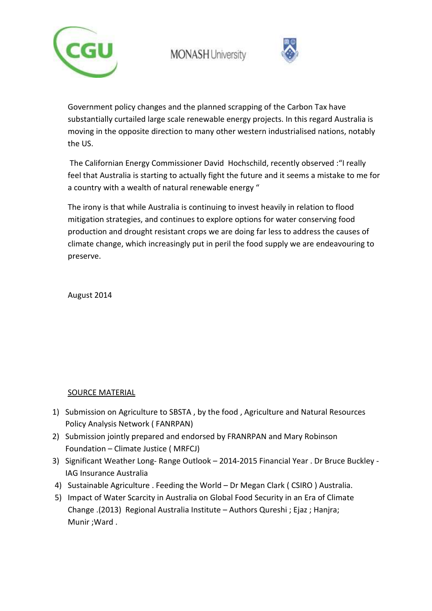



Government policy changes and the planned scrapping of the Carbon Tax have substantially curtailed large scale renewable energy projects. In this regard Australia is moving in the opposite direction to many other western industrialised nations, notably the US.

 The Californian Energy Commissioner David Hochschild, recently observed :"I really feel that Australia is starting to actually fight the future and it seems a mistake to me for a country with a wealth of natural renewable energy "

The irony is that while Australia is continuing to invest heavily in relation to flood mitigation strategies, and continues to explore options for water conserving food production and drought resistant crops we are doing far less to address the causes of climate change, which increasingly put in peril the food supply we are endeavouring to preserve.

August 2014

#### SOURCE MATERIAL

- 1) Submission on Agriculture to SBSTA , by the food , Agriculture and Natural Resources Policy Analysis Network ( FANRPAN)
- 2) Submission jointly prepared and endorsed by FRANRPAN and Mary Robinson Foundation – Climate Justice ( MRFCJ)
- 3) Significant Weather Long- Range Outlook 2014-2015 Financial Year . Dr Bruce Buckley IAG Insurance Australia
- 4) Sustainable Agriculture . Feeding the World Dr Megan Clark ( CSIRO ) Australia.
- 5) Impact of Water Scarcity in Australia on Global Food Security in an Era of Climate Change .(2013) Regional Australia Institute – Authors Qureshi ; Ejaz ; Hanjra; Munir ;Ward .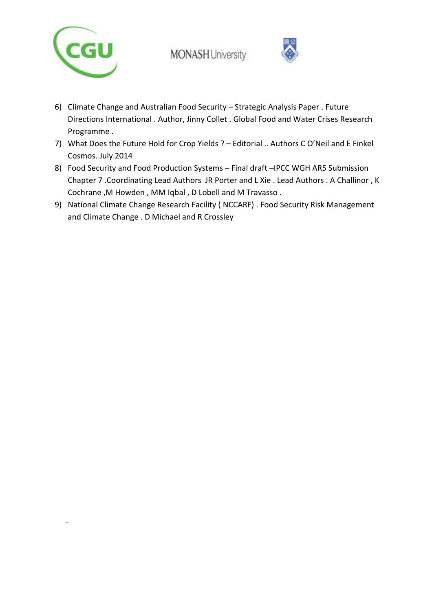

-



- 6) Climate Change and Australian Food Security Strategic Analysis Paper . Future Directions International . Author, Jinny Collet . Global Food and Water Crises Research Programme .
- 7) What Does the Future Hold for Crop Yields ? Editorial .. Authors C O'Neil and E Finkel Cosmos. July 2014
- 8) Food Security and Food Production Systems Final draft –IPCC WGH AR5 Submission Chapter 7 .Coordinating Lead Authors JR Porter and L Xie . Lead Authors . A Challinor , K Cochrane ,M Howden , MM Iqbal , D Lobell and M Travasso .
- 9) National Climate Change Research Facility ( NCCARF) . Food Security Risk Management and Climate Change . D Michael and R Crossley